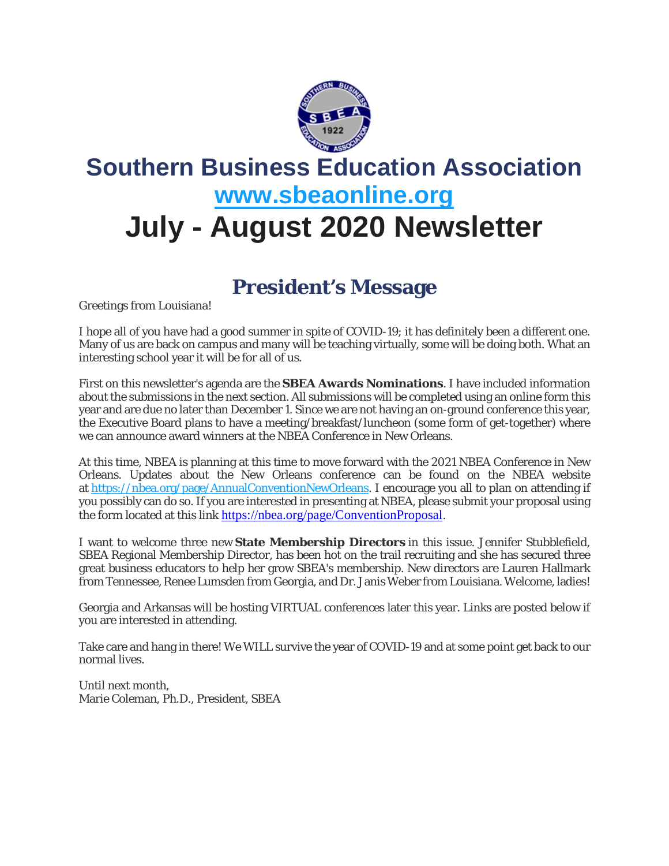

# **Southern Business Education Association [www.sbeaonline.org](https://www.sbeaonline.org/) July - August 2020 Newsletter**

### **President's Message**

Greetings from Louisiana!

I hope all of you have had a good summer in spite of COVID-19; it has definitely been a different one. Many of us are back on campus and many will be teaching virtually, some will be doing both. What an interesting school year it will be for all of us.

First on this newsletter's agenda are the **SBEA Awards Nominations**. I have included information about the submissions in the next section. All submissions will be completed using an online form this year and are due no later than December 1. Since we are not having an on-ground conference this year, the Executive Board plans to have a meeting/breakfast/luncheon (some form of get-together) where we can announce award winners at the NBEA Conference in New Orleans.

At this time, NBEA is planning at this time to move forward with the 2021 NBEA Conference in New Orleans. Updates about the New Orleans conference can be found on the NBEA website at [https://nbea.org/page/AnnualConventionNewOrleans.](https://nbea.org/page/AnnualConventionNewOrleans) I encourage you all to plan on attending if you possibly can do so. If you are interested in presenting at NBEA, please submit your proposal using the form located at this link <https://nbea.org/page/ConventionProposal>.

I want to welcome three new **State Membership Directors** in this issue. Jennifer Stubblefield, SBEA Regional Membership Director, has been hot on the trail recruiting and she has secured three great business educators to help her grow SBEA's membership. New directors are Lauren Hallmark from Tennessee, Renee Lumsden from Georgia, and Dr. Janis Weber from Louisiana. Welcome, ladies!

Georgia and Arkansas will be hosting VIRTUAL conferences later this year. Links are posted below if you are interested in attending.

Take care and hang in there! We WILL survive the year of COVID-19 and at some point get back to our normal lives.

Until next month, Marie Coleman, Ph.D., President, SBEA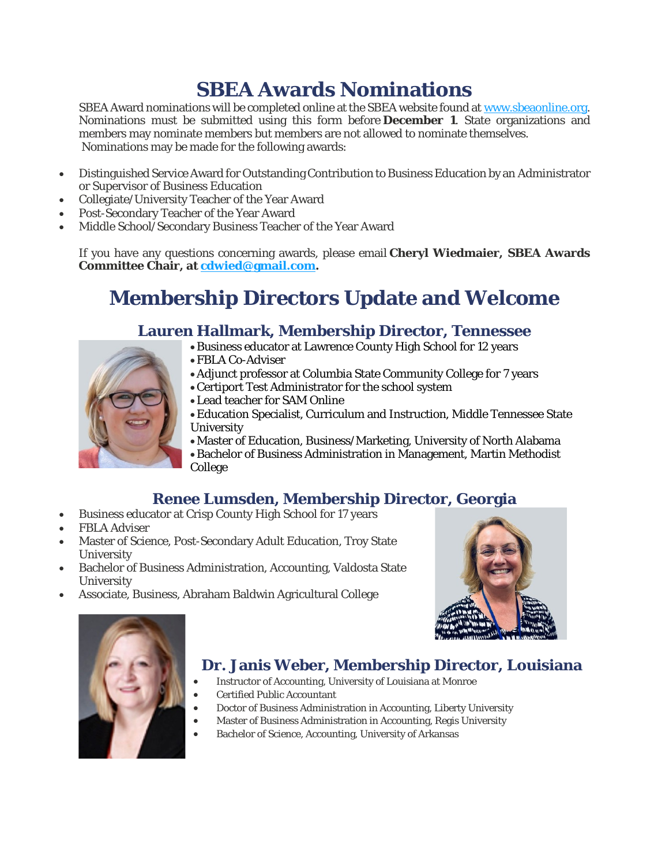# **SBEA Awards Nominations**

SBEA Award nominations will be completed online at the SBEA website found at [www.sbeaonline.org.](https://www.sbeaonline.org/) Nominations must be submitted using this form before **December 1**. State organizations and members may nominate members but members are not allowed to nominate themselves. Nominations may be made for the following awards:

- Distinguished Service Award for Outstanding Contribution to Business Education by an Administrator or Supervisor of Business Education
- Collegiate/University Teacher of the Year Award
- Post-Secondary Teacher of the Year Award
- Middle School/Secondary Business Teacher of the Year Award

If you have any questions concerning awards, please email **Cheryl Wiedmaier, SBEA Awards Committee Chair, at [cdwied@gmail.com.](https://cdwied@gmail.com/)**

# **Membership Directors Update and Welcome**

#### **Lauren Hallmark, Membership Director, Tennessee**

- •Business educator at Lawrence County High School for 12 years
- •FBLA Co-Adviser
- •Adjunct professor at Columbia State Community College for 7 years
- •Certiport Test Administrator for the school system
- •Lead teacher for SAM Online
- •Education Specialist, Curriculum and Instruction, Middle Tennessee State University

•Master of Education, Business/Marketing, University of North Alabama •Bachelor of Business Administration in Management, Martin Methodist College

#### **Renee Lumsden, Membership Director, Georgia**

- Business educator at Crisp County High School for 17 years
- FBLA Adviser
- Master of Science, Post-Secondary Adult Education, Troy State **University**
- Bachelor of Business Administration, Accounting, Valdosta State University
- Associate, Business, Abraham Baldwin Agricultural College





#### **Dr. Janis Weber, Membership Director, Louisiana**

- Instructor of Accounting, University of Louisiana at Monroe
	- Certified Public Accountant
	- Doctor of Business Administration in Accounting, Liberty University
	- Master of Business Administration in Accounting, Regis University
	- Bachelor of Science, Accounting, University of Arkansas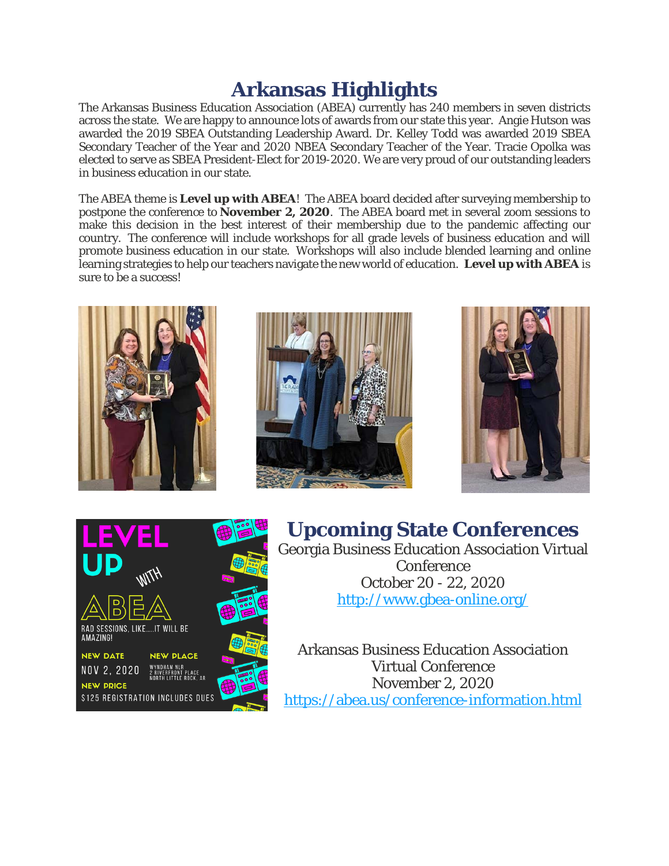# **Arkansas Highlights**

The Arkansas Business Education Association (ABEA) currently has 240 members in seven districts across the state. We are happy to announce lots of awards from our state this year. Angie Hutson was awarded the 2019 SBEA Outstanding Leadership Award. Dr. Kelley Todd was awarded 2019 SBEA Secondary Teacher of the Year and 2020 NBEA Secondary Teacher of the Year. Tracie Opolka was elected to serve as SBEA President-Elect for 2019-2020. We are very proud of our outstanding leaders in business education in our state.

The ABEA theme is **Level up with ABEA**! The ABEA board decided after surveying membership to postpone the conference to **November 2, 2020**. The ABEA board met in several zoom sessions to make this decision in the best interest of their membership due to the pandemic affecting our country. The conference will include workshops for all grade levels of business education and will promote business education in our state. Workshops will also include blended learning and online learning strategies to help our teachers navigate the new world of education. **Level up with ABEA** is sure to be a success!









**Upcoming State Conferences** Georgia Business Education Association Virtual Conference October 20 - 22, 2020 <http://www.gbea-online.org/>

Arkansas Business Education Association Virtual Conference November 2, 2020 <https://abea.us/conference-information.html>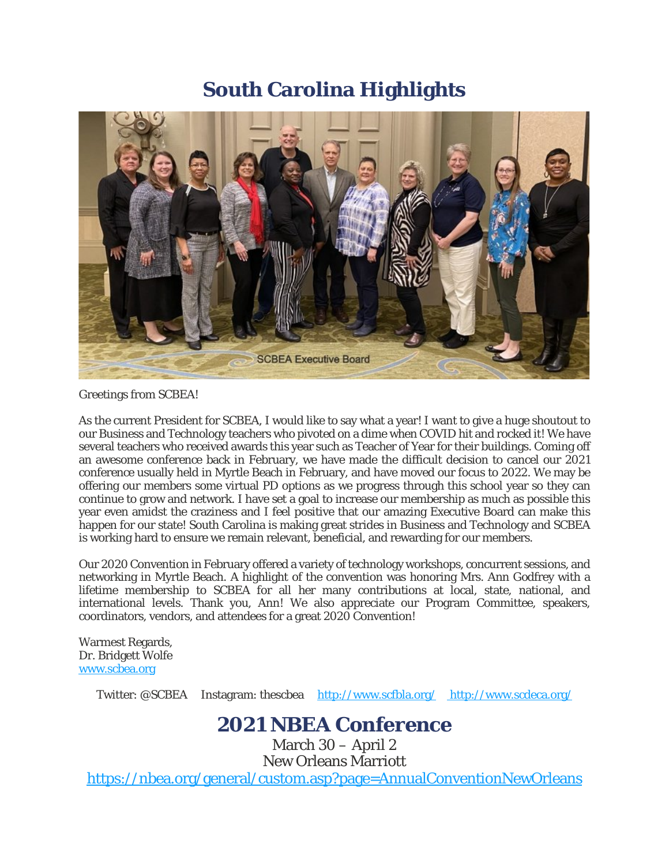### **South Carolina Highlights**



Greetings from SCBEA!

As the current President for SCBEA, I would like to say what a year! I want to give a huge shoutout to our Business and Technology teachers who pivoted on a dime when COVID hit and rocked it! We have several teachers who received awards this year such as Teacher of Year for their buildings. Coming off an awesome conference back in February, we have made the difficult decision to cancel our 2021 conference usually held in Myrtle Beach in February, and have moved our focus to 2022. We may be offering our members some virtual PD options as we progress through this school year so they can continue to grow and network. I have set a goal to increase our membership as much as possible this year even amidst the craziness and I feel positive that our amazing Executive Board can make this happen for our state! South Carolina is making great strides in Business and Technology and SCBEA is working hard to ensure we remain relevant, beneficial, and rewarding for our members.

Our 2020 Convention in February offered a variety of technology workshops, concurrent sessions, and networking in Myrtle Beach. A highlight of the convention was honoring Mrs. Ann Godfrey with a lifetime membership to SCBEA for all her many contributions at local, state, national, and international levels. Thank you, Ann! We also appreciate our Program Committee, speakers, coordinators, vendors, and attendees for a great 2020 Convention!

Warmest Regards, Dr. Bridgett Wolfe [www.scbea.org](https://www.scbea.org/)

Twitter: @SCBEA Instagram: thescbea <http://www.scfbla.org/> http://www.scdeca.org/

### **2021 NBEA Conference**

March 30 – April 2 New Orleans Marriott <https://nbea.org/general/custom.asp?page=AnnualConventionNewOrleans>